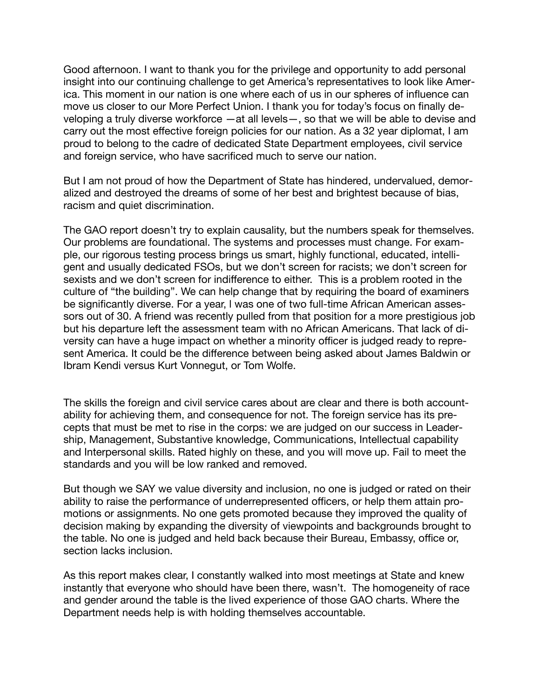Good afternoon. I want to thank you for the privilege and opportunity to add personal insight into our continuing challenge to get America's representatives to look like America. This moment in our nation is one where each of us in our spheres of influence can move us closer to our More Perfect Union. I thank you for today's focus on finally developing a truly diverse workforce —at all levels—, so that we will be able to devise and carry out the most effective foreign policies for our nation. As a 32 year diplomat, I am proud to belong to the cadre of dedicated State Department employees, civil service and foreign service, who have sacrificed much to serve our nation.

But I am not proud of how the Department of State has hindered, undervalued, demoralized and destroyed the dreams of some of her best and brightest because of bias, racism and quiet discrimination.

The GAO report doesn't try to explain causality, but the numbers speak for themselves. Our problems are foundational. The systems and processes must change. For example, our rigorous testing process brings us smart, highly functional, educated, intelligent and usually dedicated FSOs, but we don't screen for racists; we don't screen for sexists and we don't screen for indifference to either. This is a problem rooted in the culture of "the building". We can help change that by requiring the board of examiners be significantly diverse. For a year, l was one of two full-time African American assessors out of 30. A friend was recently pulled from that position for a more prestigious job but his departure left the assessment team with no African Americans. That lack of diversity can have a huge impact on whether a minority officer is judged ready to represent America. It could be the difference between being asked about James Baldwin or Ibram Kendi versus Kurt Vonnegut, or Tom Wolfe.

The skills the foreign and civil service cares about are clear and there is both accountability for achieving them, and consequence for not. The foreign service has its precepts that must be met to rise in the corps: we are judged on our success in Leadership, Management, Substantive knowledge, Communications, Intellectual capability and Interpersonal skills. Rated highly on these, and you will move up. Fail to meet the standards and you will be low ranked and removed.

But though we SAY we value diversity and inclusion, no one is judged or rated on their ability to raise the performance of underrepresented officers, or help them attain promotions or assignments. No one gets promoted because they improved the quality of decision making by expanding the diversity of viewpoints and backgrounds brought to the table. No one is judged and held back because their Bureau, Embassy, office or, section lacks inclusion.

As this report makes clear, I constantly walked into most meetings at State and knew instantly that everyone who should have been there, wasn't. The homogeneity of race and gender around the table is the lived experience of those GAO charts. Where the Department needs help is with holding themselves accountable.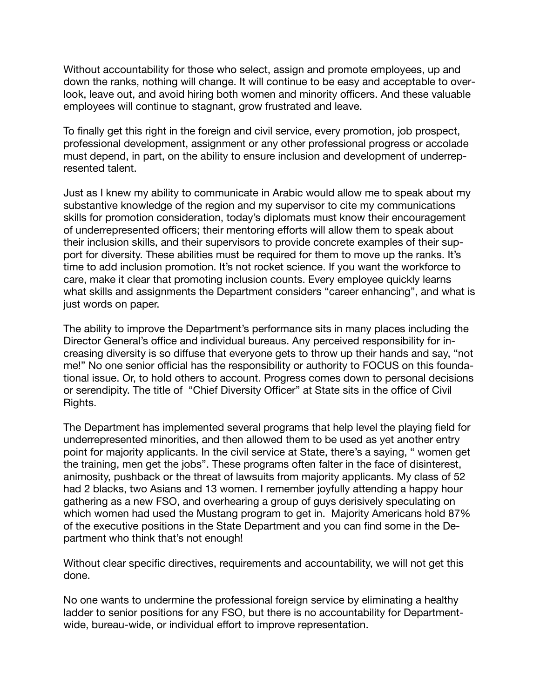Without accountability for those who select, assign and promote employees, up and down the ranks, nothing will change. It will continue to be easy and acceptable to overlook, leave out, and avoid hiring both women and minority officers. And these valuable employees will continue to stagnant, grow frustrated and leave.

To finally get this right in the foreign and civil service, every promotion, job prospect, professional development, assignment or any other professional progress or accolade must depend, in part, on the ability to ensure inclusion and development of underrepresented talent.

Just as I knew my ability to communicate in Arabic would allow me to speak about my substantive knowledge of the region and my supervisor to cite my communications skills for promotion consideration, today's diplomats must know their encouragement of underrepresented officers; their mentoring efforts will allow them to speak about their inclusion skills, and their supervisors to provide concrete examples of their support for diversity. These abilities must be required for them to move up the ranks. It's time to add inclusion promotion. It's not rocket science. If you want the workforce to care, make it clear that promoting inclusion counts. Every employee quickly learns what skills and assignments the Department considers "career enhancing", and what is just words on paper.

The ability to improve the Department's performance sits in many places including the Director General's office and individual bureaus. Any perceived responsibility for increasing diversity is so diffuse that everyone gets to throw up their hands and say, "not me!" No one senior official has the responsibility or authority to FOCUS on this foundational issue. Or, to hold others to account. Progress comes down to personal decisions or serendipity. The title of "Chief Diversity Officer" at State sits in the office of Civil Rights.

The Department has implemented several programs that help level the playing field for underrepresented minorities, and then allowed them to be used as yet another entry point for majority applicants. In the civil service at State, there's a saying, " women get the training, men get the jobs". These programs often falter in the face of disinterest, animosity, pushback or the threat of lawsuits from majority applicants. My class of 52 had 2 blacks, two Asians and 13 women. I remember joyfully attending a happy hour gathering as a new FSO, and overhearing a group of guys derisively speculating on which women had used the Mustang program to get in. Majority Americans hold 87% of the executive positions in the State Department and you can find some in the Department who think that's not enough!

Without clear specific directives, requirements and accountability, we will not get this done.

No one wants to undermine the professional foreign service by eliminating a healthy ladder to senior positions for any FSO, but there is no accountability for Departmentwide, bureau-wide, or individual effort to improve representation.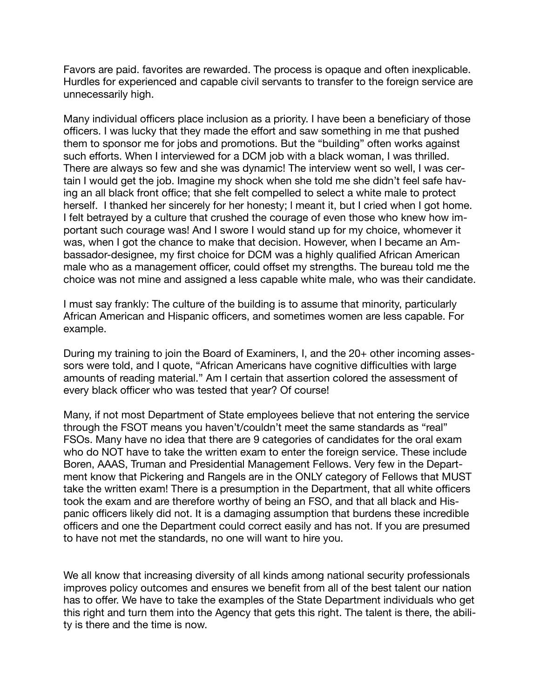Favors are paid. favorites are rewarded. The process is opaque and often inexplicable. Hurdles for experienced and capable civil servants to transfer to the foreign service are unnecessarily high.

Many individual officers place inclusion as a priority. I have been a beneficiary of those officers. I was lucky that they made the effort and saw something in me that pushed them to sponsor me for jobs and promotions. But the "building" often works against such efforts. When I interviewed for a DCM job with a black woman, I was thrilled. There are always so few and she was dynamic! The interview went so well, I was certain I would get the job. Imagine my shock when she told me she didn't feel safe having an all black front office; that she felt compelled to select a white male to protect herself. I thanked her sincerely for her honesty; l meant it, but I cried when I got home. I felt betrayed by a culture that crushed the courage of even those who knew how important such courage was! And I swore I would stand up for my choice, whomever it was, when I got the chance to make that decision. However, when I became an Ambassador-designee, my first choice for DCM was a highly qualified African American male who as a management officer, could offset my strengths. The bureau told me the choice was not mine and assigned a less capable white male, who was their candidate.

I must say frankly: The culture of the building is to assume that minority, particularly African American and Hispanic officers, and sometimes women are less capable. For example.

During my training to join the Board of Examiners, I, and the 20+ other incoming assessors were told, and I quote, "African Americans have cognitive difficulties with large amounts of reading material." Am I certain that assertion colored the assessment of every black officer who was tested that year? Of course!

Many, if not most Department of State employees believe that not entering the service through the FSOT means you haven't/couldn't meet the same standards as "real" FSOs. Many have no idea that there are 9 categories of candidates for the oral exam who do NOT have to take the written exam to enter the foreign service. These include Boren, AAAS, Truman and Presidential Management Fellows. Very few in the Department know that Pickering and Rangels are in the ONLY category of Fellows that MUST take the written exam! There is a presumption in the Department, that all white officers took the exam and are therefore worthy of being an FSO, and that all black and Hispanic officers likely did not. It is a damaging assumption that burdens these incredible officers and one the Department could correct easily and has not. If you are presumed to have not met the standards, no one will want to hire you.

We all know that increasing diversity of all kinds among national security professionals improves policy outcomes and ensures we benefit from all of the best talent our nation has to offer. We have to take the examples of the State Department individuals who get this right and turn them into the Agency that gets this right. The talent is there, the ability is there and the time is now.